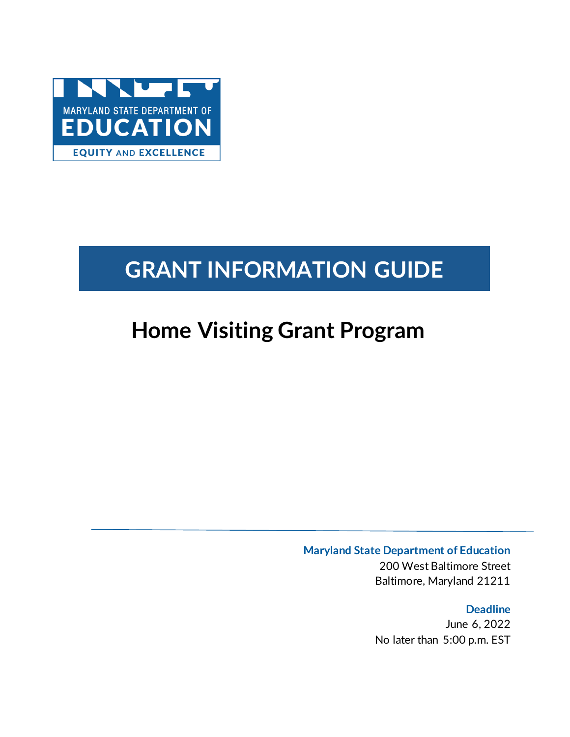

# **GRANT INFORMATION GUIDE**

# **Home Visiting Grant Program**

**Maryland State Department of Education**

200 West Baltimore Street Baltimore, Maryland 21211

**Deadline** June 6, 2022 No later than 5:00 p.m. EST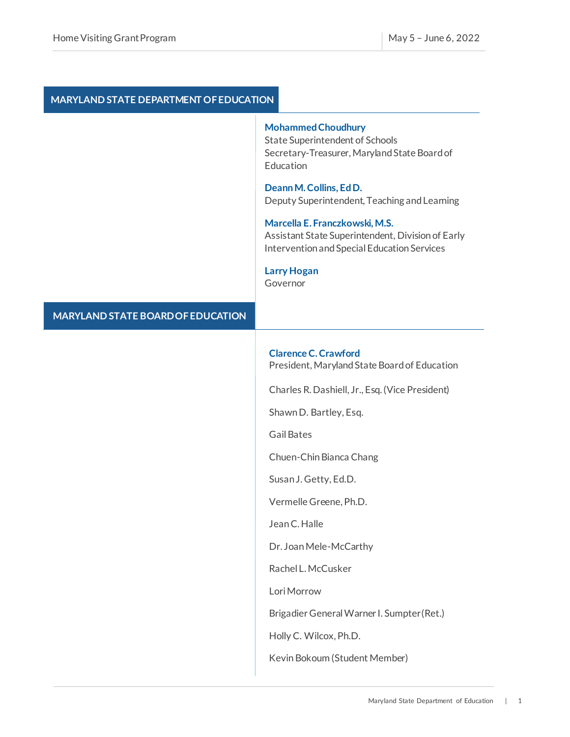### **MARYLAND STATE DEPARTMENT OF EDUCATION**

### **Mohammed Choudhury**

State Superintendent of Schools Secretary-Treasurer, Maryland State Board of Education

### **Deann M. Collins, Ed D.**  Deputy Superintendent, Teaching and Learning

#### **Marcella E. Franczkowski, M.S.**

Assistant State Superintendent, Division of Early Intervention and Special Education Services

### **Larry Hogan**

Governor

### **Clarence C. Crawford**

President, Maryland State Board of Education

Charles R. Dashiell, Jr., Esq. (Vice President)

Shawn D. Bartley, Esq.

Gail Bates

Chuen-Chin Bianca Chang

Susan J. Getty, Ed.D.

Vermelle Greene, Ph.D.

Jean C. Halle

Dr. Joan Mele-McCarthy

Rachel L. McCusker

Lori Morrow

Brigadier General Warner I. Sumpter (Ret.)

Holly C. Wilcox, Ph.D.

Kevin Bokoum (Student Member)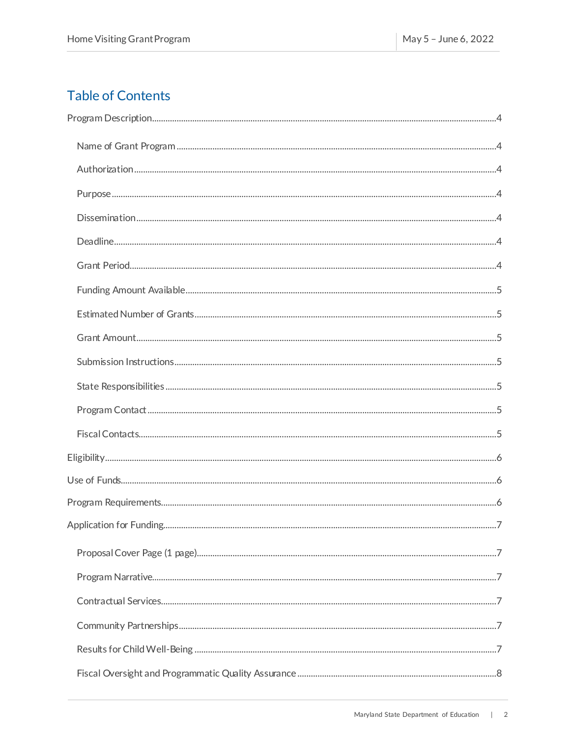### **Table of Contents**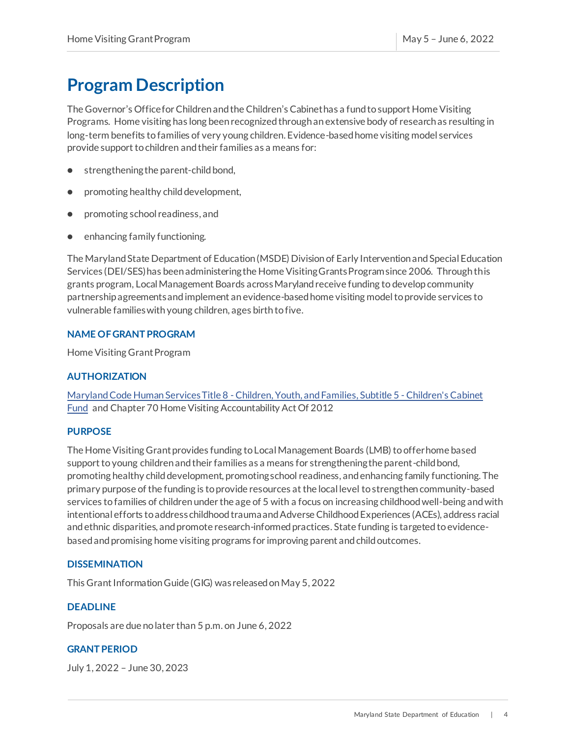# <span id="page-4-0"></span>**Program Description**

The Governor's Office for Children and the Children's Cabinet has a fund to support Home Visiting Programs. Home visiting has long been recognized through an extensive body of research as resulting in long-term benefits to families of very young children. Evidence-based home visiting model services provide support to children and their families as a means for:

- strengthening the parent-child bond,
- promoting healthy child development,
- promoting school readiness, and
- enhancing family functioning.

The Maryland State Department of Education (MSDE) Division of Early Intervention and Special Education Services (DEI/SES) has been administering the Home Visiting Grants Program since 2006. Through this grants program, Local Management Boards acrossMaryland receive funding to develop community partnership agreements and implement an evidence-based home visiting model to provide services to vulnerable families with young children, ages birth to five.

### <span id="page-4-1"></span>**NAME OF GRANT PROGRAM**

Home Visiting Grant Program

### <span id="page-4-2"></span>**AUTHORIZATION**

Maryland Code Human Services Title 8 - [Children, Youth, and Families, Subtitle 5 -](https://mgaleg.maryland.gov/mgawebsite/Laws/StatuteText?article=ghu§ion=8-508&enactments=False&archived=False) Children's Cabinet [Fund](https://mgaleg.maryland.gov/mgawebsite/Laws/StatuteText?article=ghu§ion=8-508&enactments=False&archived=False) and Chapter 70 Home Visiting Accountability Act Of 2012

### <span id="page-4-3"></span>**PURPOSE**

The Home Visiting Grant provides funding to Local Management Boards (LMB) to offer home based support to young children and their families as a means for strengthening the parent-child bond, promoting healthy child development, promoting school readiness, and enhancing family functioning. The primary purpose of the funding is to provide resources at the local level to strengthen community-based services to families of children under the age of 5 with a focus on increasing childhood well-being and with intentional efforts to address childhood trauma and Adverse Childhood Experiences (ACEs), address racial and ethnic disparities, and promote research-informed practices. State funding is targeted to evidencebased and promising home visiting programs for improving parent and child outcomes.

### <span id="page-4-4"></span>**DISSEMINATION**

This Grant Information Guide (GIG) was released on May 5, 2022

### <span id="page-4-5"></span>**DEADLINE**

Proposals are due no later than 5 p.m. on June 6, 2022

### <span id="page-4-6"></span>**GRANT PERIOD**

July 1, 2022 – June 30, 2023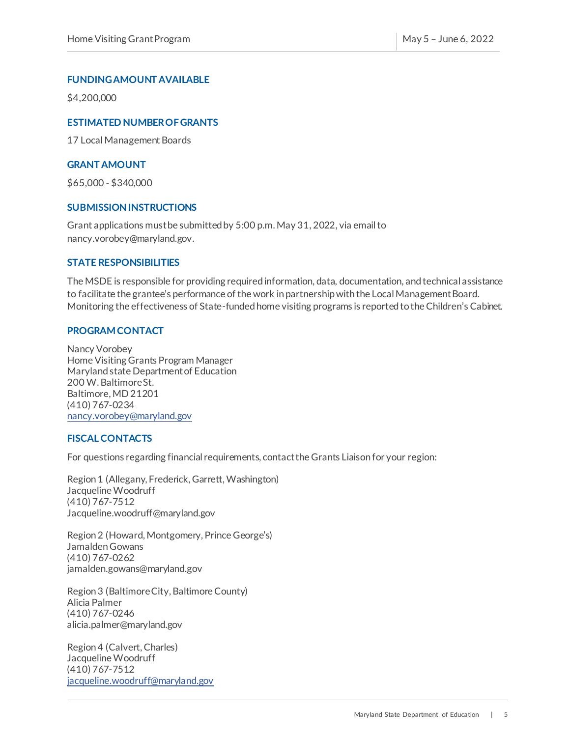### <span id="page-5-0"></span>**FUNDING AMOUNT AVAILABLE**

\$4,200,000

### <span id="page-5-1"></span>**ESTIMATED NUMBER OF GRANTS**

17 Local Management Boards

### <span id="page-5-2"></span>**GRANT AMOUNT**

\$65,000 - \$340,000

### <span id="page-5-3"></span>**SUBMISSION INSTRUCTIONS**

Grant applications must be submitted by 5:00 p.m.May 31, 2022, via email to nancy.vorobey@maryland.gov.

### <span id="page-5-4"></span>**STATE RESPONSIBILITIES**

The MSDE is responsible for providing required information, data, documentation, and technical assistance to facilitate the grantee's performance of the work in partnership with the Local Management Board. Monitoring the effectiveness of State-funded home visiting programs is reported to the Children's Cabinet.

### <span id="page-5-5"></span>**PROGRAM CONTACT**

Nancy Vorobey Home Visiting Grants Program Manager Maryland state Department of Education 200 W. Baltimore St. Baltimore, MD 21201 (410) 767-0234 [nancy.vorobey@maryland.gov](mailto:nancy.vorobey@maryland.gov)

### <span id="page-5-6"></span>**FISCAL CONTACTS**

For questions regarding financial requirements, contact the Grants Liaison for your region:

Region 1 (Allegany, Frederick, Garrett, Washington) Jacqueline Woodruff (410) 767-7512 Jacqueline.woodruff@maryland.gov

Region 2 (Howard, Montgomery, Prince George's) Jamalden Gowans (410) 767-0262 jamalden.gowans@maryland.gov

Region 3 (Baltimore City, Baltimore County) Alicia Palmer (410) 767-0246 alicia.palmer@maryland.gov

Region 4 (Calvert, Charles) Jacqueline Woodruff (410) 767-7512 [jacqueline.woodruff@maryland.gov](mailto:jacqueline.woodruff@maryland.gov)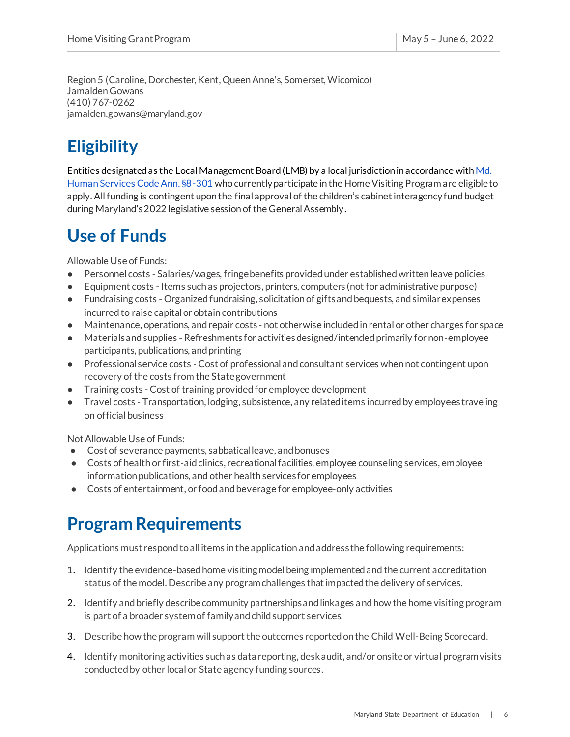Region 5 (Caroline, Dorchester, Kent, Queen Anne's, Somerset, Wicomico) Jamalden Gowans (410) 767-0262 jamalden.gowans@maryland.gov

# <span id="page-6-0"></span>**Eligibility**

Entities designated as the Local Management Board (LMB) by a local jurisdiction in accordance with Md. Human Services Code Ann. §8-301 who currently participate in the Home Visiting Program are eligible to apply.All funding is contingent upon the final approval of the children's cabinet interagency fund budget during Maryland's 2022 legislative session of the General Assembly.

# <span id="page-6-1"></span>**Use of Funds**

Allowable Use of Funds:

- Personnel costs Salaries/wages, fringe benefits provided under established written leave policies
- Equipment costs Items such as projectors, printers, computers (not for administrative purpose)
- Fundraising costs Organized fundraising, solicitation of gifts and bequests, and similar expenses incurred to raise capital or obtain contributions
- Maintenance, operations, and repair costs not otherwise included in rental or other charges for space
- Materials and supplies Refreshments for activities designed/intended primarily for non-employee participants, publications, and printing
- Professional service costs Cost of professional and consultant services when not contingent upon recovery of the costs from the State government
- Training costs -Cost of training provided for employee development
- Travel costs Transportation, lodging, subsistence, any related items incurred by employees traveling on official business

Not Allowable Use of Funds:

- Cost of severance payments, sabbatical leave, and bonuses
- Costs of health or first-aid clinics, recreational facilities, employee counseling services, employee information publications, and other health services for employees
- Costs of entertainment, or food and beverage for employee-only activities

## <span id="page-6-2"></span>**Program Requirements**

Applications must respond to all items in the application andaddress the following requirements:

- 1. Identify the evidence-based home visiting model being implemented and the current accreditation status of the model. Describe any program challenges that impacted the delivery of services.
- 2. Identify and briefly describe community partnerships and linkages and how the home visiting program is part of a broader system of family and child support services.
- 3. Describe how the program will support the outcomes reported on the Child Well-Being Scorecard.
- 4. Identify monitoring activities such as data reporting, desk audit, and/or onsite or virtual program visits conducted by other local or State agency funding sources.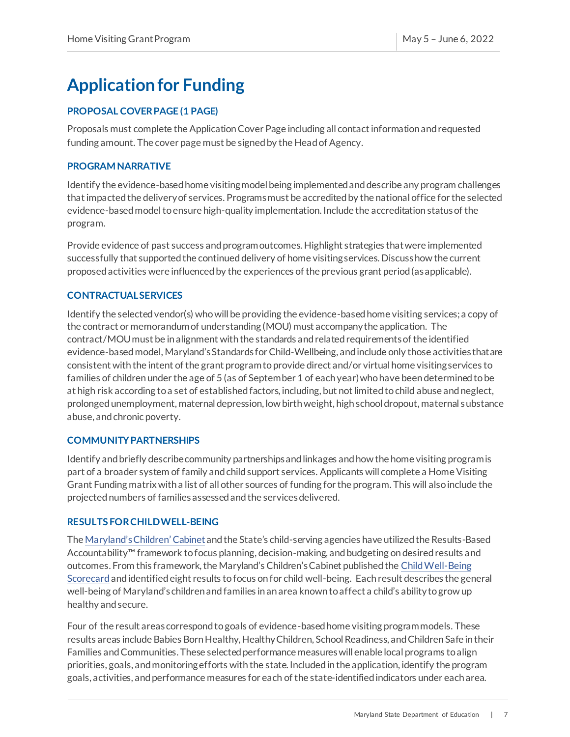# <span id="page-7-0"></span>**Application for Funding**

### <span id="page-7-1"></span>**PROPOSAL COVER PAGE (1 PAGE)**

Proposals must complete the ApplicationCover Page including all contact information and requested funding amount. The cover page must be signed by the Head of Agency.

### <span id="page-7-2"></span>**PROGRAM NARRATIVE**

Identify the evidence-based home visiting model being implemented and describe any program challenges that impacted the delivery of services. Programs must be accredited by the national office for the selected evidence-based model to ensure high-quality implementation. Include the accreditation status of the program.

Provide evidence of past success and program outcomes. Highlight strategies that were implemented successfully that supported the continued delivery of home visiting services. Discuss how the current proposed activities were influenced by the experiences of the previous grant period (as applicable).

### <span id="page-7-3"></span>**CONTRACTUAL SERVICES**

Identify the selected vendor(s) who will be providing the evidence-based home visiting services; a copy of the contract or memorandum of understanding (MOU) must accompany the application. The contract/MOU must be in alignment with the standards and related requirements of the identified evidence-based model, Maryland's Standards for Child-Wellbeing, and include only those activities that are consistent with the intent of the grant program to provide direct and/or virtual home visiting services to families of children under the age of 5 (as of September 1 of each year) who have been determined to be at high risk according to a set of established factors, including, but not limited to child abuse and neglect, prolonged unemployment, maternal depression, low birth weight, high school dropout, maternal substance abuse, and chronic poverty.

### **COMMUNITY PARTNERSHIPS**

Identify and briefly describe community partnerships and linkages and how the home visiting program is part of a broader system of family and child support services. Applicants will complete a Home Visiting Grant Funding matrix with a list of all other sources of funding for the program. This will also include the projected numbers of families assessedand the servicesdelivered.

### **RESULTS FOR CHILD WELL-BEING**

The [Maryland's Children' Cabinet](http://goccp.maryland.gov/mdchildrenscabinet/) and the State's child-serving agencies have utilized the Results-Based Accountability™ framework to focus planning, decision-making, and budgeting on desired results and outcomes. From this framework, the Maryland's Children's Cabinet published the [Child Well-Being](http://goccp.maryland.gov/score-card-overview/)  [Scorecard](http://goccp.maryland.gov/score-card-overview/) and identified eight results to focus on for child well-being. Each result describes the general well-being of Maryland's children and families in an area known to affect a child's ability to grow up healthy and secure.

Four of the result areas correspond to goals of evidence-based home visiting program models. These results areas include Babies Born Healthy, Healthy Children, School Readiness, and Children Safe in their Families and Communities. These selected performance measures will enable local programs to align priorities, goals, and monitoring efforts with the state. Included in the application, identify the program goals, activities, and performance measures for each of the state-identified indicators under each area.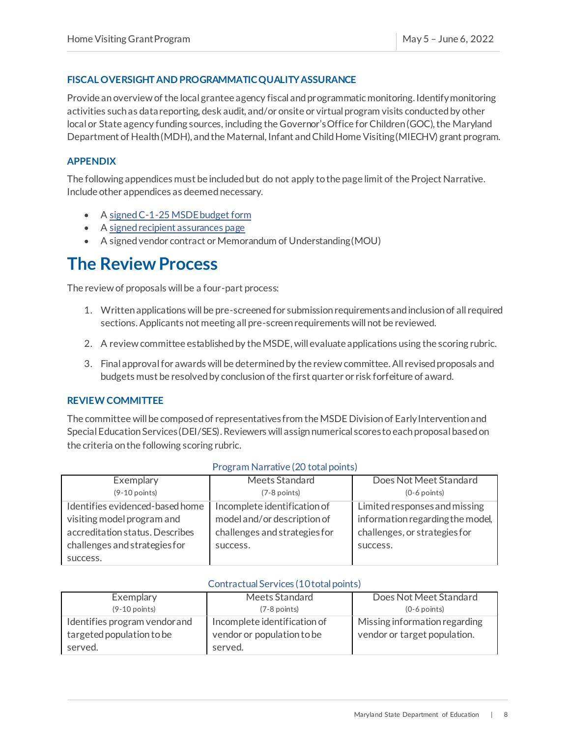### <span id="page-8-0"></span>**FISCAL OVERSIGHT AND PROGRAMMATIC QUALITY ASSURANCE**

Provide an overview of the local grantee agency fiscal and programmatic monitoring. Identify monitoring activities such as data reporting, desk audit, and/or onsite or virtual program visits conducted by other local or State agency funding sources, including the Governor's Office for Children (GOC), the Maryland Department of Health (MDH), and the Maternal, Infant and Child Home Visiting (MIECHV) grant program.

### <span id="page-8-1"></span>**APPENDIX**

The following appendices must be included but do not apply to the page limit of the Project Narrative. Include other appendices as deemed necessary.

- [A signed C-1-25 MSDE budget form](https://www.marylandpublicschools.org/about/Documents/Grants/GrantForms-12-10-2020.xls)
- [A signed recipient assurances page](https://www.marylandpublicschools.org/about/Documents/Grants/GrantRecipientAssurances.pdf)
- A signed vendor contract or Memorandum of Understanding (MOU)

### <span id="page-8-2"></span>**The Review Process**

The review of proposals will be a four-part process:

- 1. Written applications will be pre-screened for submission requirements and inclusion of all required sections. Applicants not meeting all pre-screen requirements will not be reviewed.
- 2. A review committee established by the MSDE, will evaluate applications using the scoring rubric.
- 3. Final approval for awards will be determined by the review committee. All revised proposals and budgets must be resolved by conclusion of the first quarter or risk forfeiture of award.

### <span id="page-8-3"></span>**REVIEW COMMITTEE**

The committee will be composed of representatives from the MSDE Division of Early Intervention and Special Education Services (DEI/SES). Reviewers will assign numerical scores to each proposal based on the criteria on the following scoring rubric.

| Exemplary                       | Meets Standard                | Does Not Meet Standard           |
|---------------------------------|-------------------------------|----------------------------------|
| $(9-10$ points)                 | $(7-8$ points)                | $(0-6$ points)                   |
| Identifies evidenced-based home | Incomplete identification of  | Limited responses and missing    |
| visiting model program and      | model and/or description of   | information regarding the model, |
| accreditation status. Describes | challenges and strategies for | challenges, or strategies for    |
| challenges and strategies for   | success.                      | success.                         |
| success.                        |                               |                                  |

#### Program Narrative (20 total points)

### Contractual Services (10 total points)

| Exemplary                     | Meets Standard               | Does Not Meet Standard        |
|-------------------------------|------------------------------|-------------------------------|
| $(9-10$ points)               | $(7-8$ points)               | $(0-6$ points)                |
| Identifies program vendor and | Incomplete identification of | Missing information regarding |
| targeted population to be     | vendor or population to be   | vendor or target population.  |
| served.                       | served.                      |                               |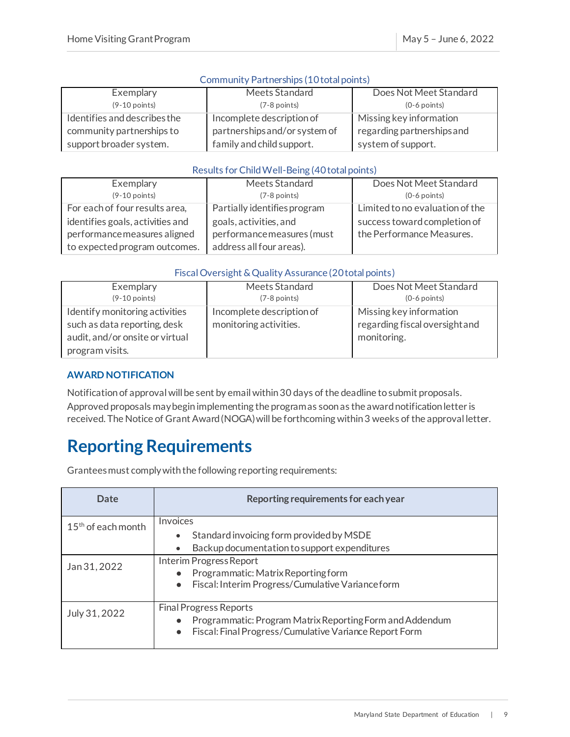### Community Partnerships (10 total points)

| Exemplary                    | Meets Standard                | Does Not Meet Standard     |
|------------------------------|-------------------------------|----------------------------|
| $(9-10$ points)              | $(7-8$ points)                | $(0-6$ points)             |
| Identifies and describes the | Incomplete description of     | Missing key information    |
| community partnerships to    | partnerships and/or system of | regarding partnerships and |
| support broader system.      | family and child support.     | system of support.         |

### Results for Child Well-Being (40 total points)

| Exemplary                        | Meets Standard               | Does Not Meet Standard          |
|----------------------------------|------------------------------|---------------------------------|
| $(9-10$ points)                  | $(7-8$ points)               | $(0-6$ points)                  |
| For each of four results area,   | Partially identifies program | Limited to no evaluation of the |
| identifies goals, activities and | goals, activities, and       | success toward completion of    |
| performance measures aligned     | performance measures (must   | the Performance Measures.       |
| to expected program outcomes.    | address all four areas).     |                                 |

### Fiscal Oversight & Quality Assurance (20 total points)

| Exemplary                                                                                                            | Meets Standard                                      | Does Not Meet Standard                                                   |
|----------------------------------------------------------------------------------------------------------------------|-----------------------------------------------------|--------------------------------------------------------------------------|
| $(9-10$ points)                                                                                                      | $(7-8$ points)                                      | $(0-6$ points)                                                           |
| Identify monitoring activities<br>such as data reporting, desk<br>audit, and/or onsite or virtual<br>program visits. | Incomplete description of<br>monitoring activities. | Missing key information<br>regarding fiscal oversight and<br>monitoring. |

### <span id="page-9-0"></span>**AWARD NOTIFICATION**

Notification of approval will be sent by email within 30 days of the deadline to submit proposals. Approved proposals may begin implementing the program as soon as the award notification letter is received. The Notice of Grant Award (NOGA) will be forthcoming within 3 weeks of the approval letter.

## <span id="page-9-1"></span>**Reporting Requirements**

Grantees must comply with the following reporting requirements:

| Date                 | Reporting requirements for each year                                                                                                                |
|----------------------|-----------------------------------------------------------------------------------------------------------------------------------------------------|
| $15th$ of each month | Invoices<br>Standard invoicing form provided by MSDE                                                                                                |
|                      | Backup documentation to support expenditures                                                                                                        |
| Jan 31, 2022         | Interim Progress Report<br>Programmatic: Matrix Reporting form<br>Fiscal: Interim Progress/Cumulative Variance form                                 |
| July 31, 2022        | <b>Final Progress Reports</b><br>Programmatic: Program Matrix Reporting Form and Addendum<br>Fiscal: Final Progress/Cumulative Variance Report Form |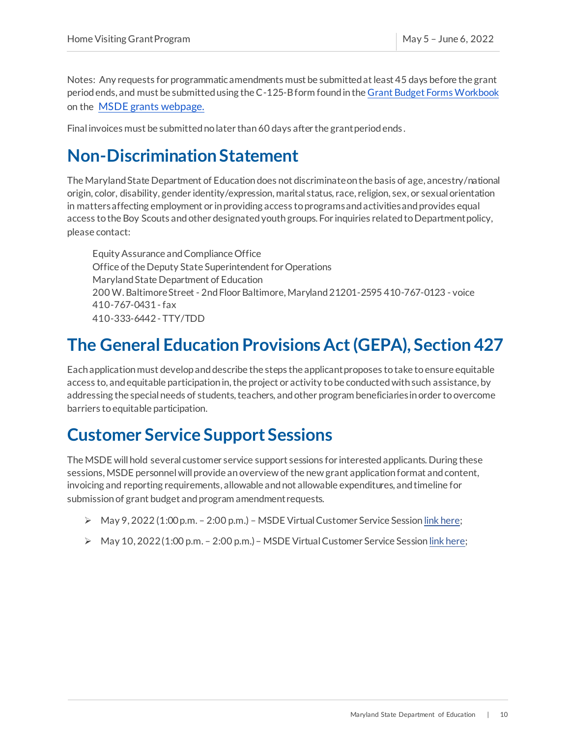Notes: Any requests for programmatic amendments must be submitted at least 45 days before the grant period ends, and must be submitted using the C-125-B form found in th[e Grant Budget Forms Workbook](https://marylandpublicschools.org/about/Pages/Grants/BudgetInfo.aspx) on the [MSDE grants webpage.](https://www.marylandpublicschools.org/about/Pages/Grants/Forms.aspx)

Final invoices must be submitted no later than 60 days after the grant period ends .

# <span id="page-10-0"></span>**Non-Discrimination Statement**

The Maryland State Department of Education does not discriminate on the basis of age, ancestry/national origin, color, disability, gender identity/expression, marital status, race, religion, sex, or sexual orientation in matters affecting employment or in providing access to programs and activities and provides equal access to the Boy Scouts and other designated youth groups. For inquiries related to Department policy, please contact:

Equity Assurance and Compliance Office Office of the Deputy State Superintendent for Operations Maryland State Department of Education 200 W. Baltimore Street - 2nd Floor Baltimore, Maryland 21201-2595 410-767-0123 - voice 410-767-0431 -fax 410-333-6442 - TTY/TDD

# <span id="page-10-1"></span>**The General Education Provisions Act (GEPA), Section 427**

Each application must develop and describe the steps the applicant proposes to take to ensure equitable access to, and equitable participation in, the project or activity to be conducted with such assistance, by addressing the special needs of students, teachers, and other program beneficiaries in order to overcome barriers to equitable participation.

## <span id="page-10-2"></span>**Customer Service Support Sessions**

The MSDE will hold several customer service support sessions for interested applicants. During these sessions, MSDE personnel will provide an overview of the new grant application format and content, invoicing and reporting requirements, allowable and not allowable expenditures, and timeline for submission of grant budget and program amendment requests.

- ➢ May 9, 2022 (1:00p.m. 2:00 p.m.) MSDE Virtual Customer Service Sessio[n link here](https://www.marylandpublicschools.org/programs/Pages/Special-Education/index.aspx);
- <span id="page-10-3"></span>➢ May 10, 2022 (1:00 p.m. – 2:00 p.m.)– MSDE Virtual Customer Service Sessio[n link here;](https://www.marylandpublicschools.org/programs/Pages/Special-Education/index.aspx)